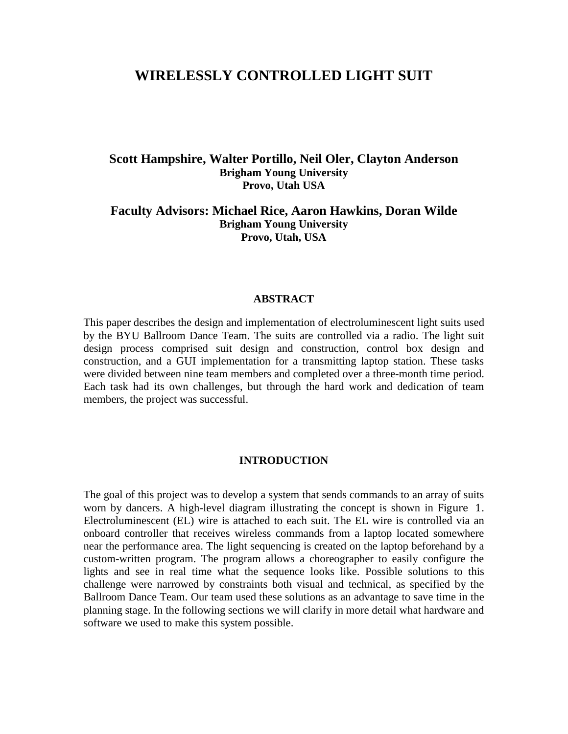# **WIRELESSLY CONTROLLED LIGHT SUIT**

# **Scott Hampshire, Walter Portillo, Neil Oler, Clayton Anderson Brigham Young University Provo, Utah USA**

## **Faculty Advisors: Michael Rice, Aaron Hawkins, Doran Wilde Brigham Young University Provo, Utah, USA**

#### **ABSTRACT**

This paper describes the design and implementation of electroluminescent light suits used by the BYU Ballroom Dance Team. The suits are controlled via a radio. The light suit design process comprised suit design and construction, control box design and construction, and a GUI implementation for a transmitting laptop station. These tasks were divided between nine team members and completed over a three-month time period. Each task had its own challenges, but through the hard work and dedication of team members, the project was successful.

#### **INTRODUCTION**

The goal of this project was to develop a system that sends commands to an array of suits worn by dancers. A high-level diagram illustrating the concept is shown in [Figure 1](#page-1-0). Electroluminescent (EL) wire is attached to each suit. The EL wire is controlled via an onboard controller that receives wireless commands from a laptop located somewhere near the performance area. The light sequencing is created on the laptop beforehand by a custom-written program. The program allows a choreographer to easily configure the lights and see in real time what the sequence looks like. Possible solutions to this challenge were narrowed by constraints both visual and technical, as specified by the Ballroom Dance Team. Our team used these solutions as an advantage to save time in the planning stage. In the following sections we will clarify in more detail what hardware and software we used to make this system possible.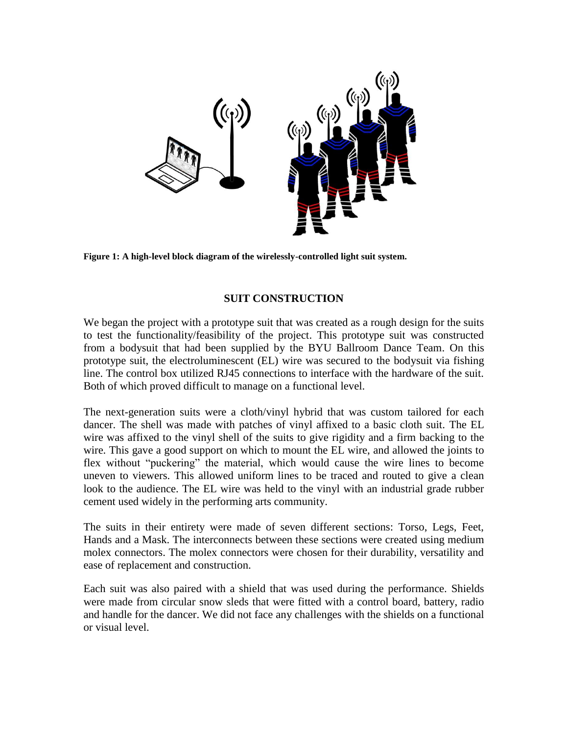

**Figure 1: A high-level block diagram of the wirelessly-controlled light suit system.**

# **SUIT CONSTRUCTION**

<span id="page-1-0"></span>We began the project with a prototype suit that was created as a rough design for the suits to test the functionality/feasibility of the project. This prototype suit was constructed from a bodysuit that had been supplied by the BYU Ballroom Dance Team. On this prototype suit, the electroluminescent (EL) wire was secured to the bodysuit via fishing line. The control box utilized RJ45 connections to interface with the hardware of the suit. Both of which proved difficult to manage on a functional level.

The next-generation suits were a cloth/vinyl hybrid that was custom tailored for each dancer. The shell was made with patches of vinyl affixed to a basic cloth suit. The EL wire was affixed to the vinyl shell of the suits to give rigidity and a firm backing to the wire. This gave a good support on which to mount the EL wire, and allowed the joints to flex without "puckering" the material, which would cause the wire lines to become uneven to viewers. This allowed uniform lines to be traced and routed to give a clean look to the audience. The EL wire was held to the vinyl with an industrial grade rubber cement used widely in the performing arts community.

The suits in their entirety were made of seven different sections: Torso, Legs, Feet, Hands and a Mask. The interconnects between these sections were created using medium molex connectors. The molex connectors were chosen for their durability, versatility and ease of replacement and construction.

Each suit was also paired with a shield that was used during the performance. Shields were made from circular snow sleds that were fitted with a control board, battery, radio and handle for the dancer. We did not face any challenges with the shields on a functional or visual level.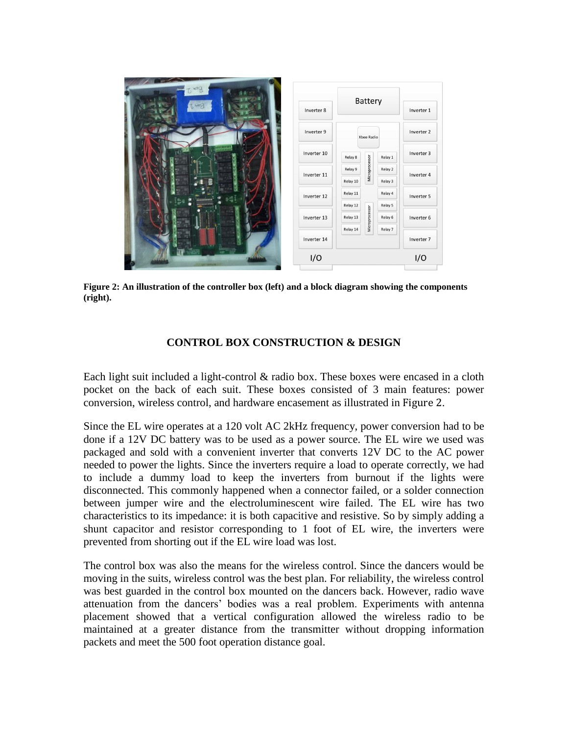

**Figure 2: An illustration of the controller box (left) and a block diagram showing the components (right).**

### **CONTROL BOX CONSTRUCTION & DESIGN**

<span id="page-2-0"></span>Each light suit included a light-control  $\&$  radio box. These boxes were encased in a cloth pocket on the back of each suit. These boxes consisted of 3 main features: power conversion, wireless control, and hardware encasement as illustrated in [Figure 2](#page-2-0).

Since the EL wire operates at a 120 volt AC 2kHz frequency, power conversion had to be done if a 12V DC battery was to be used as a power source. The EL wire we used was packaged and sold with a convenient inverter that converts 12V DC to the AC power needed to power the lights. Since the inverters require a load to operate correctly, we had to include a dummy load to keep the inverters from burnout if the lights were disconnected. This commonly happened when a connector failed, or a solder connection between jumper wire and the electroluminescent wire failed. The EL wire has two characteristics to its impedance: it is both capacitive and resistive. So by simply adding a shunt capacitor and resistor corresponding to 1 foot of EL wire, the inverters were prevented from shorting out if the EL wire load was lost.

The control box was also the means for the wireless control. Since the dancers would be moving in the suits, wireless control was the best plan. For reliability, the wireless control was best guarded in the control box mounted on the dancers back. However, radio wave attenuation from the dancers' bodies was a real problem. Experiments with antenna placement showed that a vertical configuration allowed the wireless radio to be maintained at a greater distance from the transmitter without dropping information packets and meet the 500 foot operation distance goal.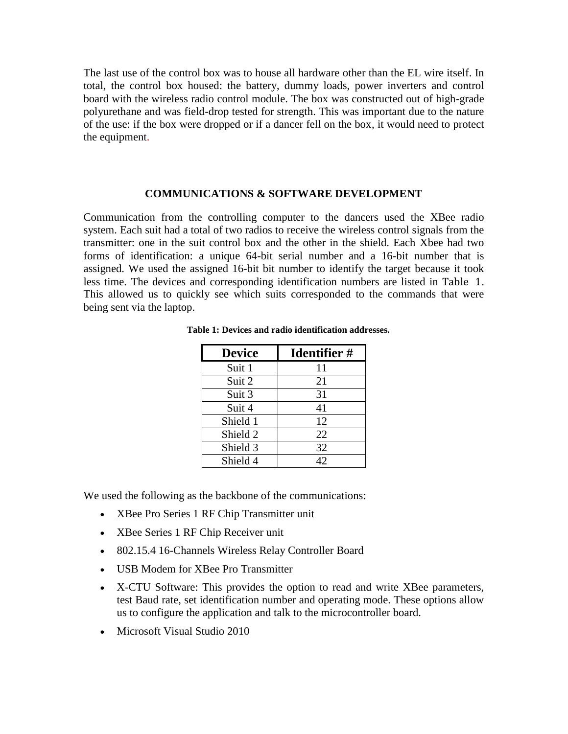The last use of the control box was to house all hardware other than the EL wire itself. In total, the control box housed: the battery, dummy loads, power inverters and control board with the wireless radio control module. The box was constructed out of high-grade polyurethane and was field-drop tested for strength. This was important due to the nature of the use: if the box were dropped or if a dancer fell on the box, it would need to protect the equipment.

#### **COMMUNICATIONS & SOFTWARE DEVELOPMENT**

Communication from the controlling computer to the dancers used the XBee radio system. Each suit had a total of two radios to receive the wireless control signals from the transmitter: one in the suit control box and the other in the shield. Each Xbee had two forms of identification: a unique 64-bit serial number and a 16-bit number that is assigned. We used the assigned 16-bit bit number to identify the target because it took less time. The devices and corresponding identification numbers are listed in [Table 1](#page-3-0). This allowed us to quickly see which suits corresponded to the commands that were being sent via the laptop.

| <b>Device</b> | <b>Identifier</b> # |
|---------------|---------------------|
| Suit 1        | 11                  |
| Suit 2        | 21                  |
| Suit 3        | 31                  |
| Suit 4        | 41                  |
| Shield 1      | 12                  |
| Shield 2      | 22                  |
| Shield 3      | 32                  |
| Shield 4      | 42.                 |

<span id="page-3-0"></span>**Table 1: Devices and radio identification addresses.**

We used the following as the backbone of the communications:

- XBee Pro Series 1 RF Chip Transmitter unit
- XBee Series 1 RF Chip Receiver unit
- 802.15.4 16-Channels Wireless Relay Controller Board
- USB Modem for XBee Pro Transmitter
- X-CTU Software: This provides the option to read and write XBee parameters, test Baud rate, set identification number and operating mode. These options allow us to configure the application and talk to the microcontroller board.
- Microsoft Visual Studio 2010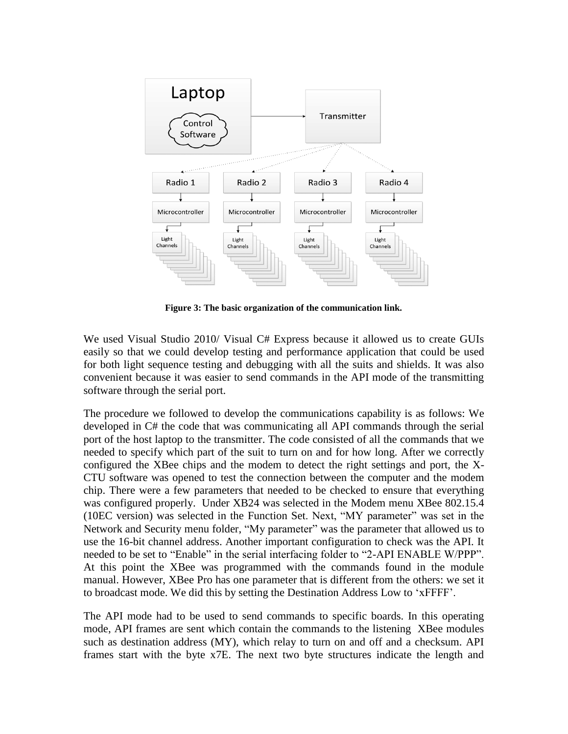

**Figure 3: The basic organization of the communication link.**

We used Visual Studio 2010/ Visual C# Express because it allowed us to create GUIs easily so that we could develop testing and performance application that could be used for both light sequence testing and debugging with all the suits and shields. It was also convenient because it was easier to send commands in the API mode of the transmitting software through the serial port.

The procedure we followed to develop the communications capability is as follows: We developed in C# the code that was communicating all API commands through the serial port of the host laptop to the transmitter. The code consisted of all the commands that we needed to specify which part of the suit to turn on and for how long. After we correctly configured the XBee chips and the modem to detect the right settings and port, the X-CTU software was opened to test the connection between the computer and the modem chip. There were a few parameters that needed to be checked to ensure that everything was configured properly. Under XB24 was selected in the Modem menu XBee 802.15.4 (10EC version) was selected in the Function Set. Next, "MY parameter" was set in the Network and Security menu folder, "My parameter" was the parameter that allowed us to use the 16-bit channel address. Another important configuration to check was the API. It needed to be set to "Enable" in the serial interfacing folder to "2-API ENABLE W/PPP". At this point the XBee was programmed with the commands found in the module manual. However, XBee Pro has one parameter that is different from the others: we set it to broadcast mode. We did this by setting the Destination Address Low to 'xFFFF'.

The API mode had to be used to send commands to specific boards. In this operating mode, API frames are sent which contain the commands to the listening XBee modules such as destination address (MY), which relay to turn on and off and a checksum. API frames start with the byte x7E. The next two byte structures indicate the length and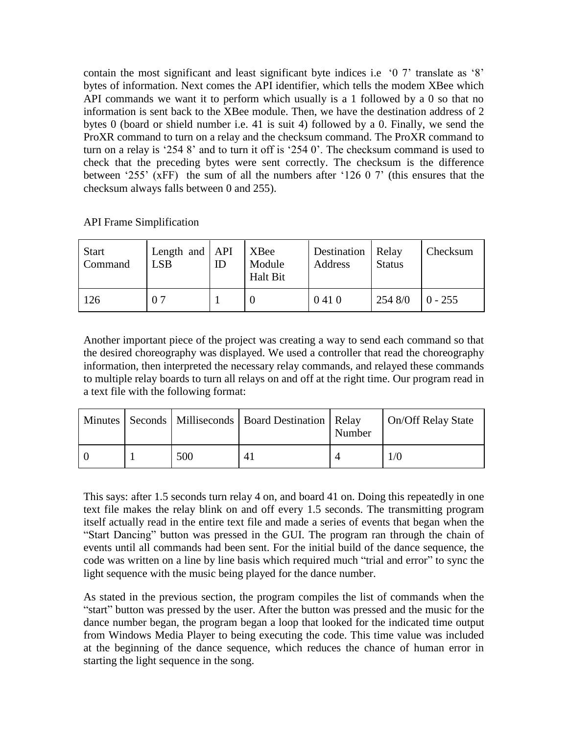contain the most significant and least significant byte indices i.e '0 7' translate as '8' bytes of information. Next comes the API identifier, which tells the modem XBee which API commands we want it to perform which usually is a 1 followed by a 0 so that no information is sent back to the XBee module. Then, we have the destination address of 2 bytes 0 (board or shield number i.e. 41 is suit 4) followed by a 0. Finally, we send the ProXR command to turn on a relay and the checksum command. The ProXR command to turn on a relay is '254 8' and to turn it off is '254 0'. The checksum command is used to check that the preceding bytes were sent correctly. The checksum is the difference between '255' (xFF) the sum of all the numbers after '126 0 7' (this ensures that the checksum always falls between 0 and 255).

API Frame Simplification

| <b>Start</b><br>Command | Length and $API$<br><b>LSB</b> | ID | <b>XBee</b><br>Module<br><b>Halt Bit</b> | Destination   Relay<br>Address | <b>Status</b> | Checksum  |
|-------------------------|--------------------------------|----|------------------------------------------|--------------------------------|---------------|-----------|
| 126                     | 0.7                            |    |                                          | 0410                           | 254 8/0       | $0 - 255$ |

Another important piece of the project was creating a way to send each command so that the desired choreography was displayed. We used a controller that read the choreography information, then interpreted the necessary relay commands, and relayed these commands to multiple relay boards to turn all relays on and off at the right time. Our program read in a text file with the following format:

|  |     | Minutes   Seconds   Milliseconds   Board Destination   Relay | Number | On/Off Relay State |
|--|-----|--------------------------------------------------------------|--------|--------------------|
|  | 500 | 4                                                            |        | 1/0                |

This says: after 1.5 seconds turn relay 4 on, and board 41 on. Doing this repeatedly in one text file makes the relay blink on and off every 1.5 seconds. The transmitting program itself actually read in the entire text file and made a series of events that began when the "Start Dancing" button was pressed in the GUI. The program ran through the chain of events until all commands had been sent. For the initial build of the dance sequence, the code was written on a line by line basis which required much "trial and error" to sync the light sequence with the music being played for the dance number.

As stated in the previous section, the program compiles the list of commands when the "start" button was pressed by the user. After the button was pressed and the music for the dance number began, the program began a loop that looked for the indicated time output from Windows Media Player to being executing the code. This time value was included at the beginning of the dance sequence, which reduces the chance of human error in starting the light sequence in the song.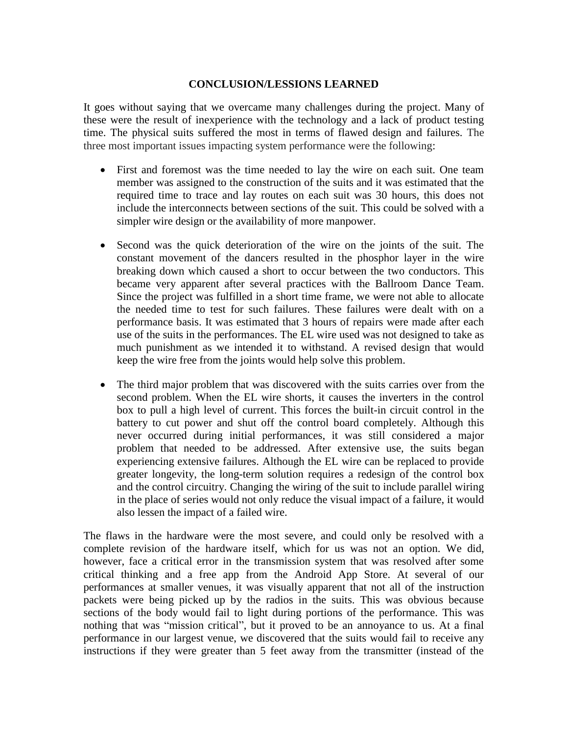## **CONCLUSION/LESSIONS LEARNED**

It goes without saying that we overcame many challenges during the project. Many of these were the result of inexperience with the technology and a lack of product testing time. The physical suits suffered the most in terms of flawed design and failures. The three most important issues impacting system performance were the following:

- First and foremost was the time needed to lay the wire on each suit. One team member was assigned to the construction of the suits and it was estimated that the required time to trace and lay routes on each suit was 30 hours, this does not include the interconnects between sections of the suit. This could be solved with a simpler wire design or the availability of more manpower.
- Second was the quick deterioration of the wire on the joints of the suit. The constant movement of the dancers resulted in the phosphor layer in the wire breaking down which caused a short to occur between the two conductors. This became very apparent after several practices with the Ballroom Dance Team. Since the project was fulfilled in a short time frame, we were not able to allocate the needed time to test for such failures. These failures were dealt with on a performance basis. It was estimated that 3 hours of repairs were made after each use of the suits in the performances. The EL wire used was not designed to take as much punishment as we intended it to withstand. A revised design that would keep the wire free from the joints would help solve this problem.
- The third major problem that was discovered with the suits carries over from the second problem. When the EL wire shorts, it causes the inverters in the control box to pull a high level of current. This forces the built-in circuit control in the battery to cut power and shut off the control board completely. Although this never occurred during initial performances, it was still considered a major problem that needed to be addressed. After extensive use, the suits began experiencing extensive failures. Although the EL wire can be replaced to provide greater longevity, the long-term solution requires a redesign of the control box and the control circuitry. Changing the wiring of the suit to include parallel wiring in the place of series would not only reduce the visual impact of a failure, it would also lessen the impact of a failed wire.

The flaws in the hardware were the most severe, and could only be resolved with a complete revision of the hardware itself, which for us was not an option. We did, however, face a critical error in the transmission system that was resolved after some critical thinking and a free app from the Android App Store. At several of our performances at smaller venues, it was visually apparent that not all of the instruction packets were being picked up by the radios in the suits. This was obvious because sections of the body would fail to light during portions of the performance. This was nothing that was "mission critical", but it proved to be an annoyance to us. At a final performance in our largest venue, we discovered that the suits would fail to receive any instructions if they were greater than 5 feet away from the transmitter (instead of the